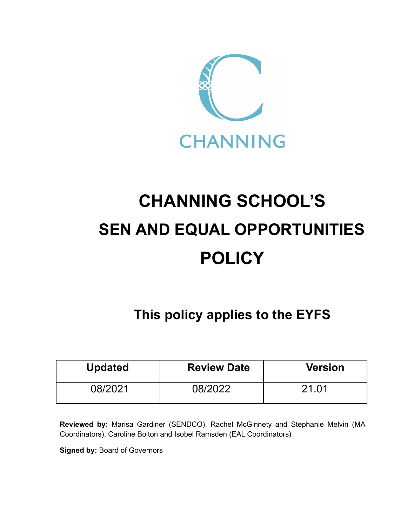

# **CHANNING SCHOOL'S SEN AND EQUAL OPPORTUNITIES POLICY**

# **This policy applies to the EYFS**

| <b>Updated</b> | <b>Review Date</b> | <b>Version</b> |
|----------------|--------------------|----------------|
| 08/2021        | 08/2022            | 21.01          |

**Reviewed by:** Marisa Gardiner (SENDCO), Rachel McGinnety and Stephanie Melvin (MA Coordinators), Caroline Bolton and Isobel Ramsden (EAL Coordinators)

**Signed by:** Board of Governors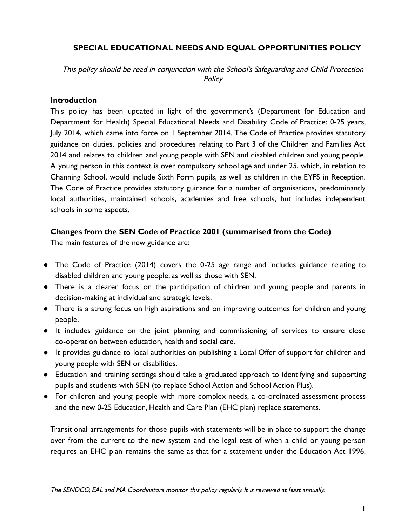# **SPECIAL EDUCATIONAL NEEDS AND EQUAL OPPORTUNITIES POLICY**

This policy should be read in conjunction with the School's Safeguarding and Child Protection **Policy** 

#### **Introduction**

This policy has been updated in light of the government's (Department for Education and Department for Health) Special Educational Needs and Disability Code of Practice: 0-25 years, July 2014, which came into force on 1 September 2014. The Code of Practice provides statutory guidance on duties, policies and procedures relating to Part 3 of the Children and Families Act 2014 and relates to children and young people with SEN and disabled children and young people. A young person in this context is over compulsory school age and under 25, which, in relation to Channing School, would include Sixth Form pupils, as well as children in the EYFS in Reception. The Code of Practice provides statutory guidance for a number of organisations, predominantly local authorities, maintained schools, academies and free schools, but includes independent schools in some aspects.

# **Changes from the SEN Code of Practice 2001 (summarised from the Code)**

The main features of the new guidance are:

- The Code of Practice (2014) covers the 0-25 age range and includes guidance relating to disabled children and young people, as well as those with SEN.
- There is a clearer focus on the participation of children and young people and parents in decision-making at individual and strategic levels.
- There is a strong focus on high aspirations and on improving outcomes for children and young people.
- It includes guidance on the joint planning and commissioning of services to ensure close co-operation between education, health and social care.
- It provides guidance to local authorities on publishing a Local Offer of support for children and young people with SEN or disabilities.
- Education and training settings should take a graduated approach to identifying and supporting pupils and students with SEN (to replace School Action and School Action Plus).
- For children and young people with more complex needs, a co-ordinated assessment process and the new 0-25 Education, Health and Care Plan (EHC plan) replace statements.

Transitional arrangements for those pupils with statements will be in place to support the change over from the current to the new system and the legal test of when a child or young person requires an EHC plan remains the same as that for a statement under the Education Act 1996.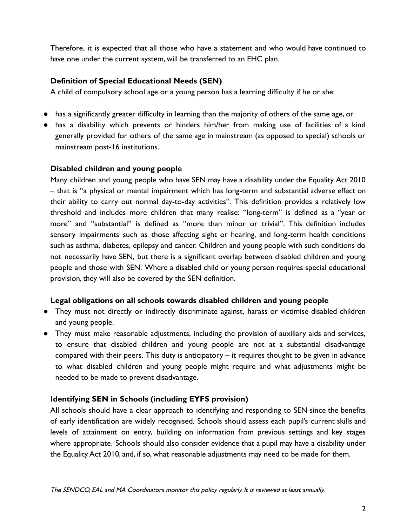Therefore, it is expected that all those who have a statement and who would have continued to have one under the current system, will be transferred to an EHC plan.

# **Definition of Special Educational Needs (SEN)**

A child of compulsory school age or a young person has a learning difficulty if he or she:

- has a significantly greater difficulty in learning than the majority of others of the same age, or
- has a disability which prevents or hinders him/her from making use of facilities of a kind generally provided for others of the same age in mainstream (as opposed to special) schools or mainstream post-16 institutions.

# **Disabled children and young people**

Many children and young people who have SEN may have a disability under the Equality Act 2010 – that is "a physical or mental impairment which has long-term and substantial adverse effect on their ability to carry out normal day-to-day activities". This definition provides a relatively low threshold and includes more children that many realise: "long-term" is defined as a "year or more" and "substantial" is defined as "more than minor or trivial". This definition includes sensory impairments such as those affecting sight or hearing, and long-term health conditions such as asthma, diabetes, epilepsy and cancer. Children and young people with such conditions do not necessarily have SEN, but there is a significant overlap between disabled children and young people and those with SEN. Where a disabled child or young person requires special educational provision, they will also be covered by the SEN definition.

# **Legal obligations on all schools towards disabled children and young people**

- They must not directly or indirectly discriminate against, harass or victimise disabled children and young people.
- They must make reasonable adjustments, including the provision of auxiliary aids and services, to ensure that disabled children and young people are not at a substantial disadvantage compared with their peers. This duty is anticipatory – it requires thought to be given in advance to what disabled children and young people might require and what adjustments might be needed to be made to prevent disadvantage.

# **Identifying SEN in Schools (including EYFS provision)**

All schools should have a clear approach to identifying and responding to SEN since the benefits of early identification are widely recognised. Schools should assess each pupil's current skills and levels of attainment on entry, building on information from previous settings and key stages where appropriate. Schools should also consider evidence that a pupil may have a disability under the Equality Act 2010, and, if so, what reasonable adjustments may need to be made for them.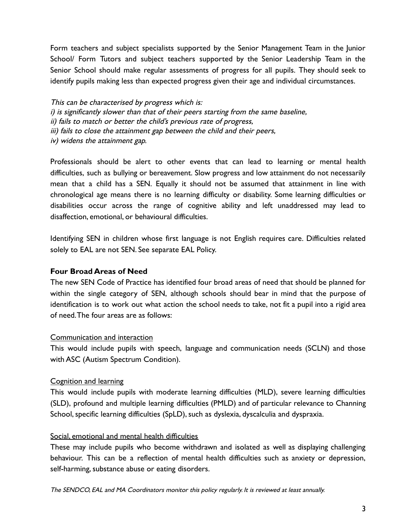Form teachers and subject specialists supported by the Senior Management Team in the Junior School/ Form Tutors and subject teachers supported by the Senior Leadership Team in the Senior School should make regular assessments of progress for all pupils. They should seek to identify pupils making less than expected progress given their age and individual circumstances.

This can be characterised by progress which is: i) is significantly slower than that of their peers starting from the same baseline, ii) fails to match or better the child's previous rate of progress, iii) fails to close the attainment gap between the child and their peers, iv) widens the attainment gap.

Professionals should be alert to other events that can lead to learning or mental health difficulties, such as bullying or bereavement. Slow progress and low attainment do not necessarily mean that a child has a SEN. Equally it should not be assumed that attainment in line with chronological age means there is no learning difficulty or disability. Some learning difficulties or disabilities occur across the range of cognitive ability and left unaddressed may lead to disaffection, emotional, or behavioural difficulties.

Identifying SEN in children whose first language is not English requires care. Difficulties related solely to EAL are not SEN. See separate EAL Policy.

# **Four Broad Areas of Need**

The new SEN Code of Practice has identified four broad areas of need that should be planned for within the single category of SEN, although schools should bear in mind that the purpose of identification is to work out what action the school needs to take, not fit a pupil into a rigid area of need.The four areas are as follows:

#### Communication and interaction

This would include pupils with speech, language and communication needs (SCLN) and those with ASC (Autism Spectrum Condition).

#### Cognition and learning

This would include pupils with moderate learning difficulties (MLD), severe learning difficulties (SLD), profound and multiple learning difficulties (PMLD) and of particular relevance to Channing School, specific learning difficulties (SpLD), such as dyslexia, dyscalculia and dyspraxia.

#### Social, emotional and mental health difficulties

These may include pupils who become withdrawn and isolated as well as displaying challenging behaviour. This can be a reflection of mental health difficulties such as anxiety or depression, self-harming, substance abuse or eating disorders.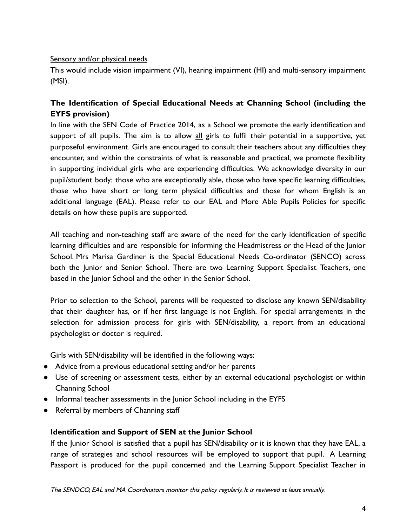#### Sensory and/or physical needs

This would include vision impairment (VI), hearing impairment (HI) and multi-sensory impairment (MSI).

# **The Identification of Special Educational Needs at Channing School (including the EYFS provision)**

In line with the SEN Code of Practice 2014, as a School we promote the early identification and support of all pupils. The aim is to allow all girls to fulfil their potential in a supportive, yet purposeful environment. Girls are encouraged to consult their teachers about any difficulties they encounter, and within the constraints of what is reasonable and practical, we promote flexibility in supporting individual girls who are experiencing difficulties. We acknowledge diversity in our pupil/student body: those who are exceptionally able, those who have specific learning difficulties, those who have short or long term physical difficulties and those for whom English is an additional language (EAL). Please refer to our EAL and More Able Pupils Policies for specific details on how these pupils are supported.

All teaching and non-teaching staff are aware of the need for the early identification of specific learning difficulties and are responsible for informing the Headmistress or the Head of the Junior School. Mrs Marisa Gardiner is the Special Educational Needs Co-ordinator (SENCO) across both the Junior and Senior School. There are two Learning Support Specialist Teachers, one based in the Junior School and the other in the Senior School.

Prior to selection to the School, parents will be requested to disclose any known SEN/disability that their daughter has, or if her first language is not English. For special arrangements in the selection for admission process for girls with SEN/disability, a report from an educational psychologist or doctor is required.

Girls with SEN/disability will be identified in the following ways:

- Advice from a previous educational setting and/or her parents
- Use of screening or assessment tests, either by an external educational psychologist or within Channing School
- Informal teacher assessments in the Junior School including in the EYFS
- Referral by members of Channing staff

# **Identification and Support of SEN at the Junior School**

If the Junior School is satisfied that a pupil has SEN/disability or it is known that they have EAL, a range of strategies and school resources will be employed to support that pupil. A Learning Passport is produced for the pupil concerned and the Learning Support Specialist Teacher in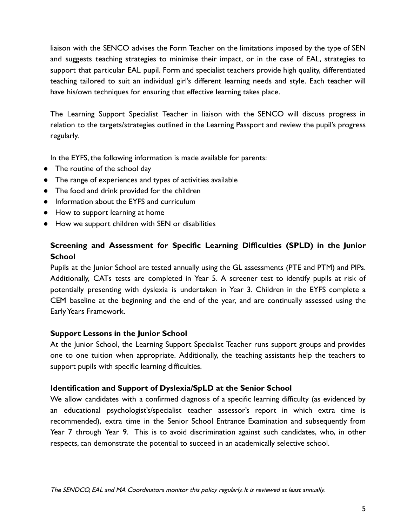liaison with the SENCO advises the Form Teacher on the limitations imposed by the type of SEN and suggests teaching strategies to minimise their impact, or in the case of EAL, strategies to support that particular EAL pupil. Form and specialist teachers provide high quality, differentiated teaching tailored to suit an individual girl's different learning needs and style. Each teacher will have his/own techniques for ensuring that effective learning takes place.

The Learning Support Specialist Teacher in liaison with the SENCO will discuss progress in relation to the targets/strategies outlined in the Learning Passport and review the pupil's progress regularly.

In the EYFS, the following information is made available for parents:

- The routine of the school day
- The range of experiences and types of activities available
- The food and drink provided for the children
- Information about the EYFS and curriculum
- How to support learning at home
- How we support children with SEN or disabilities

# **Screening and Assessment for Specific Learning Difficulties (SPLD) in the Junior School**

Pupils at the Junior School are tested annually using the GL assessments (PTE and PTM) and PIPs. Additionally, CATs tests are completed in Year 5. A screener test to identify pupils at risk of potentially presenting with dyslexia is undertaken in Year 3. Children in the EYFS complete a CEM baseline at the beginning and the end of the year, and are continually assessed using the Early Years Framework.

#### **Support Lessons in the Junior School**

At the Junior School, the Learning Support Specialist Teacher runs support groups and provides one to one tuition when appropriate. Additionally, the teaching assistants help the teachers to support pupils with specific learning difficulties.

#### **Identification and Support of Dyslexia/SpLD at the Senior School**

We allow candidates with a confirmed diagnosis of a specific learning difficulty (as evidenced by an educational psychologist's/specialist teacher assessor's report in which extra time is recommended), extra time in the Senior School Entrance Examination and subsequently from Year 7 through Year 9. This is to avoid discrimination against such candidates, who, in other respects, can demonstrate the potential to succeed in an academically selective school.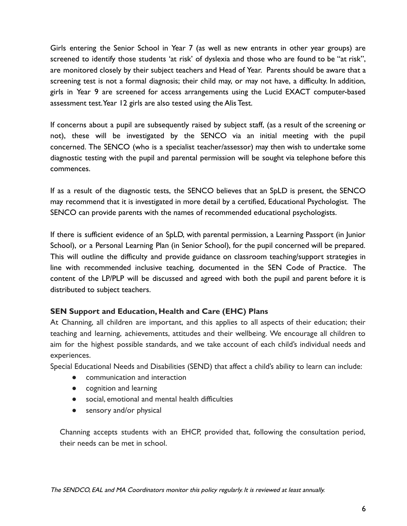Girls entering the Senior School in Year 7 (as well as new entrants in other year groups) are screened to identify those students 'at risk' of dyslexia and those who are found to be "at risk", are monitored closely by their subject teachers and Head of Year. Parents should be aware that a screening test is not a formal diagnosis; their child may, or may not have, a difficulty. In addition, girls in Year 9 are screened for access arrangements using the Lucid EXACT computer-based assessment test.Year 12 girls are also tested using the Alis Test.

If concerns about a pupil are subsequently raised by subject staff, (as a result of the screening or not), these will be investigated by the SENCO via an initial meeting with the pupil concerned. The SENCO (who is a specialist teacher/assessor) may then wish to undertake some diagnostic testing with the pupil and parental permission will be sought via telephone before this commences.

If as a result of the diagnostic tests, the SENCO believes that an SpLD is present, the SENCO may recommend that it is investigated in more detail by a certified, Educational Psychologist. The SENCO can provide parents with the names of recommended educational psychologists.

If there is sufficient evidence of an SpLD, with parental permission, a Learning Passport (in Junior School), or a Personal Learning Plan (in Senior School), for the pupil concerned will be prepared. This will outline the difficulty and provide guidance on classroom teaching/support strategies in line with recommended inclusive teaching, documented in the SEN Code of Practice. The content of the LP/PLP will be discussed and agreed with both the pupil and parent before it is distributed to subject teachers.

# **SEN Support and Education, Health and Care (EHC) Plans**

At Channing, all children are important, and this applies to all aspects of their education; their teaching and learning, achievements, attitudes and their wellbeing. We encourage all children to aim for the highest possible standards, and we take account of each child's individual needs and experiences.

Special Educational Needs and Disabilities (SEND) that affect a child's ability to learn can include:

- communication and interaction
- cognition and learning
- social, emotional and mental health difficulties
- sensory and/or physical

Channing accepts students with an EHCP, provided that, following the consultation period, their needs can be met in school.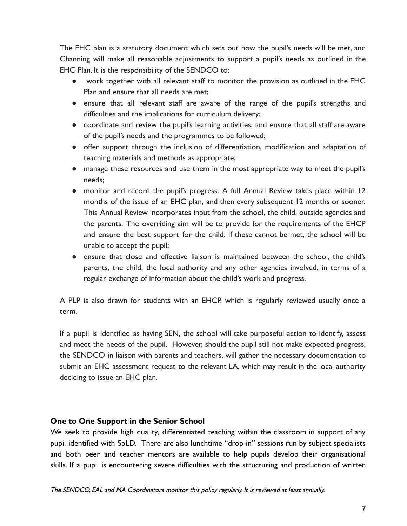The EHC plan is a statutory document which sets out how the pupil's needs will be met, and Channing will make all reasonable adjustments to support a pupil's needs as outlined in the EHC Plan. It is the responsibility of the SENDCO to:

- work together with all relevant staff to monitor the provision as outlined in the EHC Plan and ensure that all needs are met;
- ensure that all relevant staff are aware of the range of the pupil's strengths and difficulties and the implications for curriculum delivery;
- coordinate and review the pupil's learning activities, and ensure that all staff are aware of the pupil's needs and the programmes to be followed;
- offer support through the inclusion of differentiation, modification and adaptation of teaching materials and methods as appropriate;
- manage these resources and use them in the most appropriate way to meet the pupil's needs;
- monitor and record the pupil's progress. A full Annual Review takes place within 12 months of the issue of an EHC plan, and then every subsequent 12 months or sooner. This Annual Review incorporates input from the school, the child, outside agencies and the parents. The overriding aim will be to provide for the requirements of the EHCP and ensure the best support for the child. If these cannot be met, the school will be unable to accept the pupil;
- ensure that close and effective liaison is maintained between the school, the child's parents, the child, the local authority and any other agencies involved, in terms of a regular exchange of information about the child's work and progress.

A PLP is also drawn for students with an EHCP, which is regularly reviewed usually once a term.

If a pupil is identified as having SEN, the school will take purposeful action to identify, assess and meet the needs of the pupil. However, should the pupil still not make expected progress, the SENDCO in liaison with parents and teachers, will gather the necessary documentation to submit an EHC assessment request to the relevant LA, which may result in the local authority deciding to issue an EHC plan.

# **One to One Support in the Senior School**

We seek to provide high quality, differentiated teaching within the classroom in support of any pupil identified with SpLD. There are also lunchtime "drop-in" sessions run by subject specialists and both peer and teacher mentors are available to help pupils develop their organisational skills. If a pupil is encountering severe difficulties with the structuring and production of written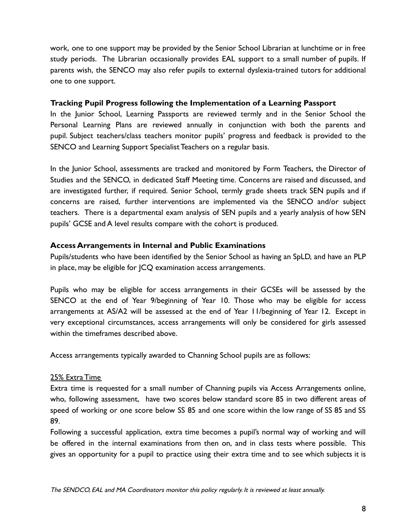work, one to one support may be provided by the Senior School Librarian at lunchtime or in free study periods. The Librarian occasionally provides EAL support to a small number of pupils. If parents wish, the SENCO may also refer pupils to external dyslexia-trained tutors for additional one to one support.

# **Tracking Pupil Progress following the Implementation of a Learning Passport**

In the Junior School, Learning Passports are reviewed termly and in the Senior School the Personal Learning Plans are reviewed annually in conjunction with both the parents and pupil. Subject teachers/class teachers monitor pupils' progress and feedback is provided to the SENCO and Learning Support Specialist Teachers on a regular basis.

In the Junior School, assessments are tracked and monitored by Form Teachers, the Director of Studies and the SENCO, in dedicated Staff Meeting time. Concerns are raised and discussed, and are investigated further, if required. Senior School, termly grade sheets track SEN pupils and if concerns are raised, further interventions are implemented via the SENCO and/or subject teachers. There is a departmental exam analysis of SEN pupils and a yearly analysis of how SEN pupils' GCSE and A level results compare with the cohort is produced.

#### **Access Arrangements in Internal and Public Examinations**

Pupils/students who have been identified by the Senior School as having an SpLD, and have an PLP in place, may be eligible for JCQ examination access arrangements.

Pupils who may be eligible for access arrangements in their GCSEs will be assessed by the SENCO at the end of Year 9/beginning of Year 10. Those who may be eligible for access arrangements at AS/A2 will be assessed at the end of Year 11/beginning of Year 12. Except in very exceptional circumstances, access arrangements will only be considered for girls assessed within the timeframes described above.

Access arrangements typically awarded to Channing School pupils are as follows:

#### 25% Extra Time

Extra time is requested for a small number of Channing pupils via Access Arrangements online, who, following assessment, have two scores below standard score 85 in two different areas of speed of working or one score below SS 85 and one score within the low range of SS 85 and SS 89.

Following a successful application, extra time becomes a pupil's normal way of working and will be offered in the internal examinations from then on, and in class tests where possible. This gives an opportunity for a pupil to practice using their extra time and to see which subjects it is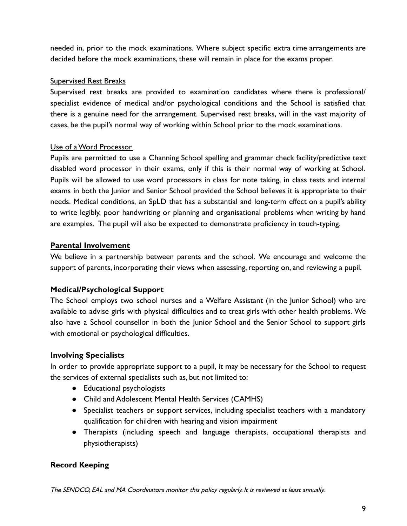needed in, prior to the mock examinations. Where subject specific extra time arrangements are decided before the mock examinations, these will remain in place for the exams proper.

# Supervised Rest Breaks

Supervised rest breaks are provided to examination candidates where there is professional/ specialist evidence of medical and/or psychological conditions and the School is satisfied that there is a genuine need for the arrangement. Supervised rest breaks, will in the vast majority of cases, be the pupil's normal way of working within School prior to the mock examinations.

# Use of a Word Processor

Pupils are permitted to use a Channing School spelling and grammar check facility/predictive text disabled word processor in their exams, only if this is their normal way of working at School. Pupils will be allowed to use word processors in class for note taking, in class tests and internal exams in both the Junior and Senior School provided the School believes it is appropriate to their needs. Medical conditions, an SpLD that has a substantial and long-term effect on a pupil's ability to write legibly, poor handwriting or planning and organisational problems when writing by hand are examples. The pupil will also be expected to demonstrate proficiency in touch-typing.

# **Parental Involvement**

We believe in a partnership between parents and the school. We encourage and welcome the support of parents, incorporating their views when assessing, reporting on, and reviewing a pupil.

# **Medical/Psychological Support**

The School employs two school nurses and a Welfare Assistant (in the Junior School) who are available to advise girls with physical difficulties and to treat girls with other health problems. We also have a School counsellor in both the Junior School and the Senior School to support girls with emotional or psychological difficulties.

# **Involving Specialists**

In order to provide appropriate support to a pupil, it may be necessary for the School to request the services of external specialists such as, but not limited to:

- Educational psychologists
- Child and Adolescent Mental Health Services (CAMHS)
- Specialist teachers or support services, including specialist teachers with a mandatory qualification for children with hearing and vision impairment
- Therapists (including speech and language therapists, occupational therapists and physiotherapists)

# **Record Keeping**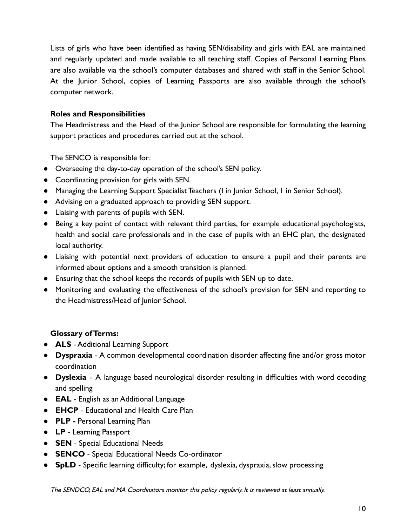Lists of girls who have been identified as having SEN/disability and girls with EAL are maintained and regularly updated and made available to all teaching staff. Copies of Personal Learning Plans are also available via the school's computer databases and shared with staff in the Senior School. At the Junior School, copies of Learning Passports are also available through the school's computer network.

# **Roles and Responsibilities**

The Headmistress and the Head of the Junior School are responsible for formulating the learning support practices and procedures carried out at the school.

The SENCO is responsible for:

- Overseeing the day-to-day operation of the school's SEN policy.
- Coordinating provision for girls with SEN.
- Managing the Learning Support Specialist Teachers (I in Junior School, 1 in Senior School).
- Advising on a graduated approach to providing SEN support.
- Liaising with parents of pupils with SEN.
- Being a key point of contact with relevant third parties, for example educational psychologists, health and social care professionals and in the case of pupils with an EHC plan, the designated local authority.
- Liaising with potential next providers of education to ensure a pupil and their parents are informed about options and a smooth transition is planned.
- Ensuring that the school keeps the records of pupils with SEN up to date.
- Monitoring and evaluating the effectiveness of the school's provision for SEN and reporting to the Headmistress/Head of Junior School.

# **Glossary of Terms:**

- **ALS** Additional Learning Support
- **Dyspraxia** A common developmental coordination disorder affecting fine and/or gross motor coordination
- **Dyslexia** A language based neurological disorder resulting in difficulties with word decoding and spelling
- **EAL** English as an Additional Language
- **EHCP** Educational and Health Care Plan
- **PLP -** Personal Learning Plan
- **LP** Learning Passport
- **SEN** Special Educational Needs
- **SENCO** Special Educational Needs Co-ordinator
- **SpLD** Specific learning difficulty; for example, dyslexia, dyspraxia, slow processing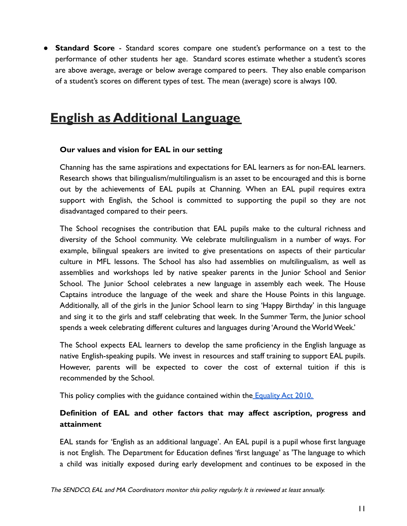● **Standard Score** - Standard scores compare one student's performance on a test to the performance of other students her age. Standard scores estimate whether a student's scores are above average, average or below average compared to peers. They also enable comparison of a student's scores on different types of test. The mean (average) score is always 100.

# **English as Additional Language**

# **Our values and vision for EAL in our setting**

Channing has the same aspirations and expectations for EAL learners as for non-EAL learners. Research shows that bilingualism/multilingualism is an asset to be encouraged and this is borne out by the achievements of EAL pupils at Channing. When an EAL pupil requires extra support with English, the School is committed to supporting the pupil so they are not disadvantaged compared to their peers.

The School recognises the contribution that EAL pupils make to the cultural richness and diversity of the School community. We celebrate multilingualism in a number of ways. For example, bilingual speakers are invited to give presentations on aspects of their particular culture in MFL lessons. The School has also had assemblies on multilingualism, as well as assemblies and workshops led by native speaker parents in the Junior School and Senior School. The Junior School celebrates a new language in assembly each week. The House Captains introduce the language of the week and share the House Points in this language. Additionally, all of the girls in the Junior School learn to sing 'Happy Birthday' in this language and sing it to the girls and staff celebrating that week. In the Summer Term, the Junior school spends a week celebrating different cultures and languages during 'Around the World Week.'

The School expects EAL learners to develop the same proficiency in the English language as native English-speaking pupils. We invest in resources and staff training to support EAL pupils. However, parents will be expected to cover the cost of external tuition if this is recommended by the School.

This policy complies with the guidance contained within the [Equality Act 2010.](https://www.legislation.gov.uk/ukpga/2010/15/contents)

# **Definition of EAL and other factors that may affect ascription, progress and attainment**

EAL stands for 'English as an additional language'. An EAL pupil is a pupil whose first language is not English. The Department for Education defines 'first language' as 'The language to which a child was initially exposed during early development and continues to be exposed in the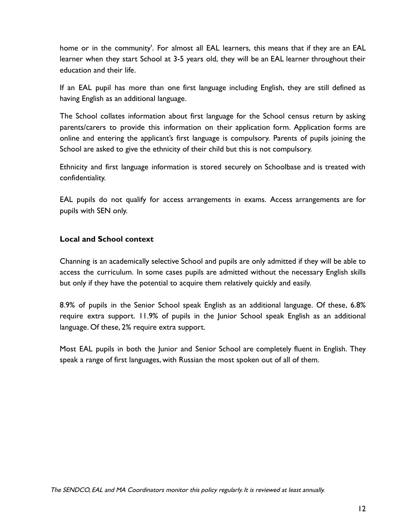home or in the community'. For almost all EAL learners, this means that if they are an EAL learner when they start School at 3-5 years old, they will be an EAL learner throughout their education and their life.

If an EAL pupil has more than one first language including English, they are still defined as having English as an additional language.

The School collates information about first language for the School census return by asking parents/carers to provide this information on their application form. Application forms are online and entering the applicant's first language is compulsory. Parents of pupils joining the School are asked to give the ethnicity of their child but this is not compulsory.

Ethnicity and first language information is stored securely on Schoolbase and is treated with confidentiality.

EAL pupils do not qualify for access arrangements in exams. Access arrangements are for pupils with SEN only.

# **Local and School context**

Channing is an academically selective School and pupils are only admitted if they will be able to access the curriculum. In some cases pupils are admitted without the necessary English skills but only if they have the potential to acquire them relatively quickly and easily.

8.9% of pupils in the Senior School speak English as an additional language. Of these, 6.8% require extra support. 11.9% of pupils in the Junior School speak English as an additional language. Of these, 2% require extra support.

Most EAL pupils in both the Junior and Senior School are completely fluent in English. They speak a range of first languages, with Russian the most spoken out of all of them.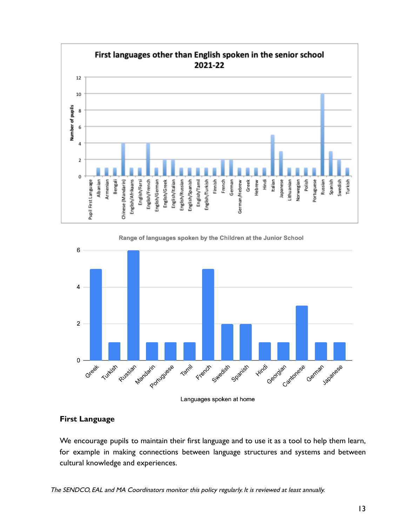



Languages spoken at home

# **First Language**

We encourage pupils to maintain their first language and to use it as a tool to help them learn, for example in making connections between language structures and systems and between cultural knowledge and experiences.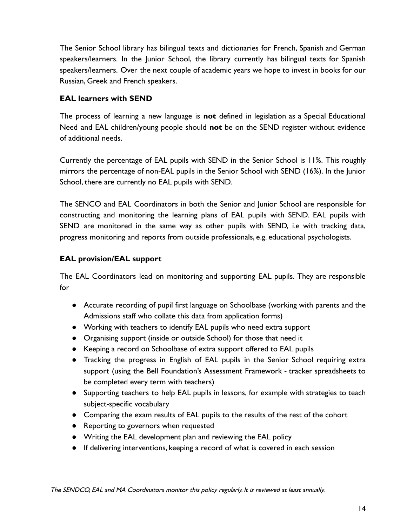The Senior School library has bilingual texts and dictionaries for French, Spanish and German speakers/learners. In the Junior School, the library currently has bilingual texts for Spanish speakers/learners. Over the next couple of academic years we hope to invest in books for our Russian, Greek and French speakers.

# **EAL learners with SEND**

The process of learning a new language is **not** defined in legislation as a Special Educational Need and EAL children/young people should **not** be on the SEND register without evidence of additional needs.

Currently the percentage of EAL pupils with SEND in the Senior School is 11%. This roughly mirrors the percentage of non-EAL pupils in the Senior School with SEND (16%). In the Junior School, there are currently no EAL pupils with SEND.

The SENCO and EAL Coordinators in both the Senior and Junior School are responsible for constructing and monitoring the learning plans of EAL pupils with SEND. EAL pupils with SEND are monitored in the same way as other pupils with SEND, i.e with tracking data, progress monitoring and reports from outside professionals, e.g. educational psychologists.

# **EAL provision/EAL support**

The EAL Coordinators lead on monitoring and supporting EAL pupils. They are responsible for

- Accurate recording of pupil first language on Schoolbase (working with parents and the Admissions staff who collate this data from application forms)
- Working with teachers to identify EAL pupils who need extra support
- Organising support (inside or outside School) for those that need it
- Keeping a record on Schoolbase of extra support offered to EAL pupils
- Tracking the progress in English of EAL pupils in the Senior School requiring extra support (using the Bell Foundation's Assessment Framework - tracker spreadsheets to be completed every term with teachers)
- Supporting teachers to help EAL pupils in lessons, for example with strategies to teach subject-specific vocabulary
- Comparing the exam results of EAL pupils to the results of the rest of the cohort
- Reporting to governors when requested
- Writing the EAL development plan and reviewing the EAL policy
- If delivering interventions, keeping a record of what is covered in each session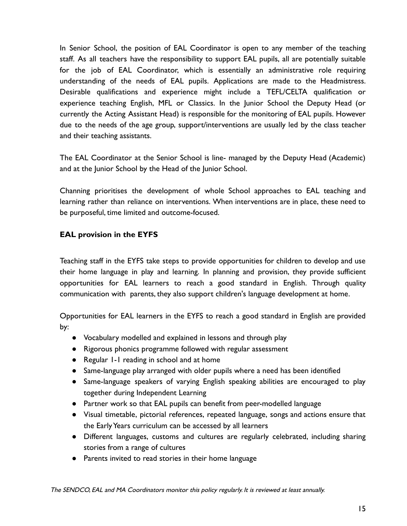In Senior School, the position of EAL Coordinator is open to any member of the teaching staff. As all teachers have the responsibility to support EAL pupils, all are potentially suitable for the job of EAL Coordinator, which is essentially an administrative role requiring understanding of the needs of EAL pupils. Applications are made to the Headmistress. Desirable qualifications and experience might include a TEFL/CELTA qualification or experience teaching English, MFL or Classics. In the Junior School the Deputy Head (or currently the Acting Assistant Head) is responsible for the monitoring of EAL pupils. However due to the needs of the age group, support/interventions are usually led by the class teacher and their teaching assistants.

The EAL Coordinator at the Senior School is line- managed by the Deputy Head (Academic) and at the Junior School by the Head of the Junior School.

Channing prioritises the development of whole School approaches to EAL teaching and learning rather than reliance on interventions. When interventions are in place, these need to be purposeful, time limited and outcome-focused.

# **EAL provision in the EYFS**

Teaching staff in the EYFS take steps to provide opportunities for children to develop and use their home language in play and learning. In planning and provision, they provide sufficient opportunities for EAL learners to reach a good standard in English. Through quality communication with parents, they also support children's language development at home.

Opportunities for EAL learners in the EYFS to reach a good standard in English are provided by:

- Vocabulary modelled and explained in lessons and through play
- Rigorous phonics programme followed with regular assessment
- Regular 1-1 reading in school and at home
- Same-language play arranged with older pupils where a need has been identified
- Same-language speakers of varying English speaking abilities are encouraged to play together during Independent Learning
- Partner work so that EAL pupils can benefit from peer-modelled language
- Visual timetable, pictorial references, repeated language, songs and actions ensure that the Early Years curriculum can be accessed by all learners
- Different languages, customs and cultures are regularly celebrated, including sharing stories from a range of cultures
- Parents invited to read stories in their home language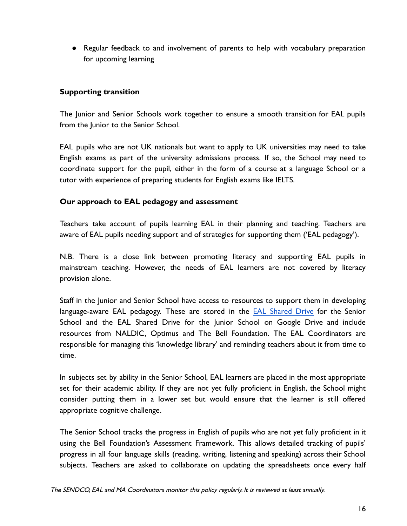● Regular feedback to and involvement of parents to help with vocabulary preparation for upcoming learning

# **Supporting transition**

The Junior and Senior Schools work together to ensure a smooth transition for EAL pupils from the Junior to the Senior School.

EAL pupils who are not UK nationals but want to apply to UK universities may need to take English exams as part of the university admissions process. If so, the School may need to coordinate support for the pupil, either in the form of a course at a language School or a tutor with experience of preparing students for English exams like IELTS.

# **Our approach to EAL pedagogy and assessment**

Teachers take account of pupils learning EAL in their planning and teaching. Teachers are aware of EAL pupils needing support and of strategies for supporting them ('EAL pedagogy').

N.B. There is a close link between promoting literacy and supporting EAL pupils in mainstream teaching. However, the needs of EAL learners are not covered by literacy provision alone.

Staff in the Junior and Senior School have access to resources to support them in developing language-aware EAL pedagogy. These are stored in the **EAL [Shared](https://drive.google.com/drive/folders/1HCWnjl82CHqFdt6UEfX0Zz20SggiGse1?usp=sharing) Drive** for the Senior School and the EAL Shared Drive for the Junior School on Google Drive and include resources from NALDIC, Optimus and The Bell Foundation. The EAL Coordinators are responsible for managing this 'knowledge library' and reminding teachers about it from time to time.

In subjects set by ability in the Senior School, EAL learners are placed in the most appropriate set for their academic ability. If they are not yet fully proficient in English, the School might consider putting them in a lower set but would ensure that the learner is still offered appropriate cognitive challenge.

The Senior School tracks the progress in English of pupils who are not yet fully proficient in it using the Bell Foundation's Assessment Framework. This allows detailed tracking of pupils' progress in all four language skills (reading, writing, listening and speaking) across their School subjects. Teachers are asked to collaborate on updating the spreadsheets once every half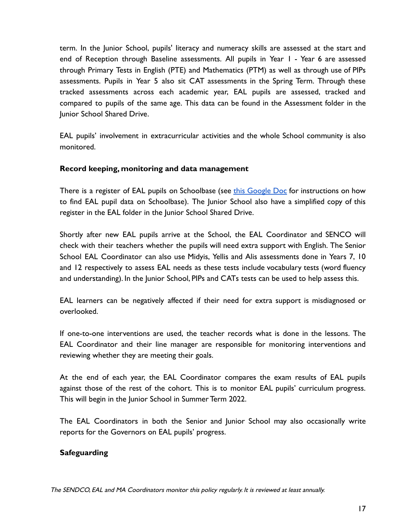term. In the Junior School, pupils' literacy and numeracy skills are assessed at the start and end of Reception through Baseline assessments. All pupils in Year 1 - Year 6 are assessed through Primary Tests in English (PTE) and Mathematics (PTM) as well as through use of PIPs assessments. Pupils in Year 5 also sit CAT assessments in the Spring Term. Through these tracked assessments across each academic year, EAL pupils are assessed, tracked and compared to pupils of the same age. This data can be found in the Assessment folder in the Junior School Shared Drive.

EAL pupils' involvement in extracurricular activities and the whole School community is also monitored.

# **Record keeping, monitoring and data management**

There is a register of EAL pupils on Schoolbase (see this [Google](https://docs.google.com/document/d/12viHa75JHydk-mohBc-Ft1_VHc5JrkDron7gS0CnyI0/edit?usp=sharing) Doc for instructions on how to find EAL pupil data on Schoolbase). The Junior School also have a simplified copy of this register in the EAL folder in the Junior School Shared Drive.

Shortly after new EAL pupils arrive at the School, the EAL Coordinator and SENCO will check with their teachers whether the pupils will need extra support with English. The Senior School EAL Coordinator can also use Midyis, Yellis and Alis assessments done in Years 7, 10 and 12 respectively to assess EAL needs as these tests include vocabulary tests (word fluency and understanding). In the Junior School, PIPs and CATs tests can be used to help assess this.

EAL learners can be negatively affected if their need for extra support is misdiagnosed or overlooked.

If one-to-one interventions are used, the teacher records what is done in the lessons. The EAL Coordinator and their line manager are responsible for monitoring interventions and reviewing whether they are meeting their goals.

At the end of each year, the EAL Coordinator compares the exam results of EAL pupils against those of the rest of the cohort. This is to monitor EAL pupils' curriculum progress. This will begin in the Junior School in Summer Term 2022.

The EAL Coordinators in both the Senior and Junior School may also occasionally write reports for the Governors on EAL pupils' progress.

# **Safeguarding**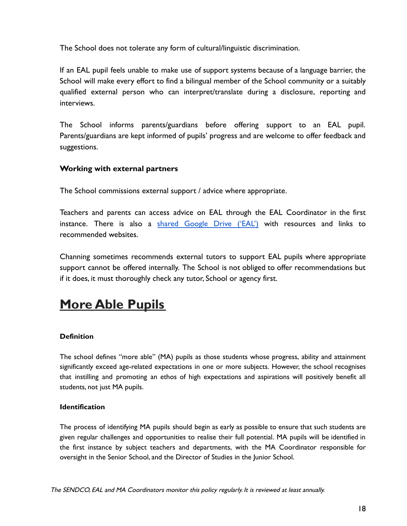The School does not tolerate any form of cultural/linguistic discrimination.

If an EAL pupil feels unable to make use of support systems because of a language barrier, the School will make every effort to find a bilingual member of the School community or a suitably qualified external person who can interpret/translate during a disclosure, reporting and interviews.

The School informs parents/guardians before offering support to an EAL pupil. Parents/guardians are kept informed of pupils' progress and are welcome to offer feedback and suggestions.

#### **Working with external partners**

The School commissions external support / advice where appropriate.

Teachers and parents can access advice on EAL through the EAL Coordinator in the first instance. There is also a shared [Google](https://drive.google.com/drive/folders/1n_Z7510K7BzLEWuzRGaCjRE14YL_M57m?usp=sharing) Drive ('EAL') with resources and links to recommended websites.

Channing sometimes recommends external tutors to support EAL pupils where appropriate support cannot be offered internally. The School is not obliged to offer recommendations but if it does, it must thoroughly check any tutor, School or agency first.

# **More Able Pupils**

#### **Definition**

The school defines "more able" (MA) pupils as those students whose progress, ability and attainment significantly exceed age-related expectations in one or more subjects. However, the school recognises that instilling and promoting an ethos of high expectations and aspirations will positively benefit all students, not just MA pupils.

#### **Identification**

The process of identifying MA pupils should begin as early as possible to ensure that such students are given regular challenges and opportunities to realise their full potential. MA pupils will be identified in the first instance by subject teachers and departments, with the MA Coordinator responsible for oversight in the Senior School, and the Director of Studies in the Junior School.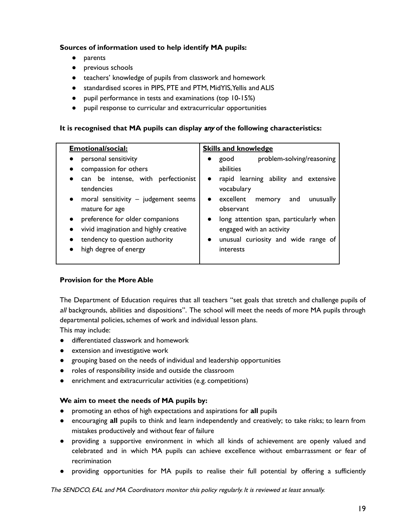#### **Sources of information used to help identify MA pupils:**

- parents
- previous schools
- teachers' knowledge of pupils from classwork and homework
- standardised scores in PIPS, PTE and PTM, MidYIS,Yellis and ALIS
- pupil performance in tests and examinations (top 10-15%)
- pupil response to curricular and extracurricular opportunities

#### **It is recognised that MA pupils can display** any **of the following characteristics:**

| <b>Emotional/social:</b>                                                                                                                                                                                                                                                                | <b>Skills and knowledge</b>                                                                                                                                                                                                                                                                                                                |  |
|-----------------------------------------------------------------------------------------------------------------------------------------------------------------------------------------------------------------------------------------------------------------------------------------|--------------------------------------------------------------------------------------------------------------------------------------------------------------------------------------------------------------------------------------------------------------------------------------------------------------------------------------------|--|
| personal sensitivity<br>compassion for others<br>can be intense, with perfectionist<br>tendencies<br>moral sensitivity $-$ judgement seems<br>$\bullet$<br>mature for age<br>preference for older companions<br>vivid imagination and highly creative<br>tendency to question authority | problem-solving/reasoning<br>good<br>$\bullet$<br>abilities<br>rapid learning ability and extensive<br>$\bullet$<br>vocabulary<br>excellent<br>unusually<br>memory<br>and<br>$\bullet$<br>observant<br>long attention span, particularly when<br>$\bullet$<br>engaged with an activity<br>unusual curiosity and wide range of<br>$\bullet$ |  |
| high degree of energy                                                                                                                                                                                                                                                                   | interests                                                                                                                                                                                                                                                                                                                                  |  |

#### **Provision for the More Able**

The Department of Education requires that all teachers "set goals that stretch and challenge pupils of all backgrounds, abilities and dispositions". The school will meet the needs of more MA pupils through departmental policies, schemes of work and individual lesson plans.

This may include:

- differentiated classwork and homework
- extension and investigative work
- grouping based on the needs of individual and leadership opportunities
- roles of responsibility inside and outside the classroom
- enrichment and extracurricular activities (e.g. competitions)

#### **We aim to meet the needs of MA pupils by:**

- promoting an ethos of high expectations and aspirations for **all** pupils
- encouraging **all** pupils to think and learn independently and creatively; to take risks; to learn from mistakes productively and without fear of failure
- providing a supportive environment in which all kinds of achievement are openly valued and celebrated and in which MA pupils can achieve excellence without embarrassment or fear of recrimination
- providing opportunities for MA pupils to realise their full potential by offering a sufficiently